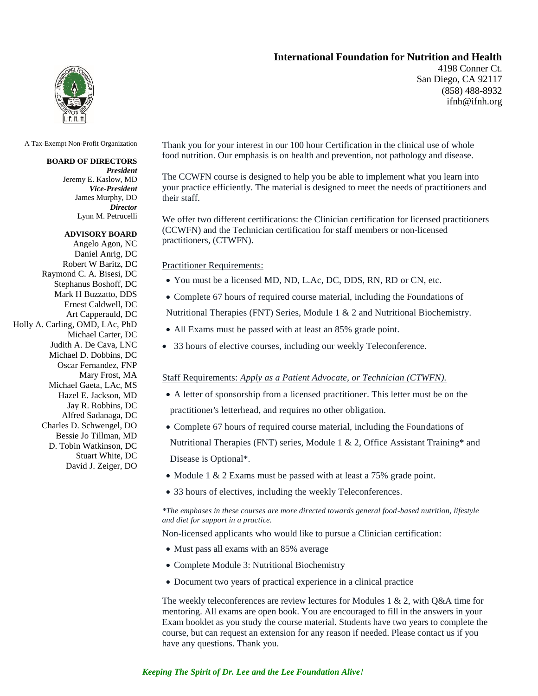## **International Foundation for Nutrition and Health**

4198 Conner Ct. San Diego, CA 92117 (858) 488-8932 ifnh@ifnh.org



A Tax-Exempt Non-Profit Organization

### **BOARD OF DIRECTORS**

*President* Jeremy E. Kaslow, MD *Vice-President* James Murphy, DO *Director* Lynn M. Petrucelli

#### **ADVISORY BOARD**

Angelo Agon, NC Daniel Anrig, DC Robert W Baritz, DC Raymond C. A. Bisesi, DC Stephanus Boshoff, DC Mark H Buzzatto, DDS Ernest Caldwell, DC Art Capperauld, DC Holly A. Carling, OMD, LAc, PhD Michael Carter, DC Judith A. De Cava, LNC Michael D. Dobbins, DC Oscar Fernandez, FNP Mary Frost, MA Michael Gaeta, LAc, MS Hazel E. Jackson, MD Jay R. Robbins, DC Alfred Sadanaga, DC Charles D. Schwengel, DO Bessie Jo Tillman, MD D. Tobin Watkinson, DC Stuart White, DC David J. Zeiger, DO Thank you for your interest in our 100 hour Certification in the clinical use of whole food nutrition. Our emphasis is on health and prevention, not pathology and disease.

The CCWFN course is designed to help you be able to implement what you learn into your practice efficiently. The material is designed to meet the needs of practitioners and their staff.

We offer two different certifications: the Clinician certification for licensed practitioners (CCWFN) and the Technician certification for staff members or non-licensed practitioners, (CTWFN).

Practitioner Requirements:

- You must be a licensed MD, ND, L.Ac, DC, DDS, RN, RD or CN, etc.
- Complete 67 hours of required course material, including the Foundations of

Nutritional Therapies (FNT) Series, Module 1 & 2 and Nutritional Biochemistry.

- All Exams must be passed with at least an 85% grade point.
- 33 hours of elective courses, including our weekly Teleconference.

#### Staff Requirements: *Apply as a Patient Advocate, or Technician (CTWFN).*

- A letter of sponsorship from a licensed practitioner. This letter must be on the practitioner's letterhead, and requires no other obligation.
- Complete 67 hours of required course material, including the Foundations of Nutritional Therapies (FNT) series, Module 1 & 2, Office Assistant Training\* and

Disease is Optional\*.

- Module 1 & 2 Exams must be passed with at least a 75% grade point.
- 33 hours of electives, including the weekly Teleconferences.

### *\*The emphases in these courses are more directed towards general food-based nutrition, lifestyle and diet for support in a practice.*

Non-licensed applicants who would like to pursue a Clinician certification:

- Must pass all exams with an 85% average
- Complete Module 3: Nutritional Biochemistry
- Document two years of practical experience in a clinical practice

The weekly teleconferences are review lectures for Modules 1  $\&$  2, with O&A time for mentoring. All exams are open book. You are encouraged to fill in the answers in your Exam booklet as you study the course material. Students have two years to complete the course, but can request an extension for any reason if needed. Please contact us if you have any questions. Thank you.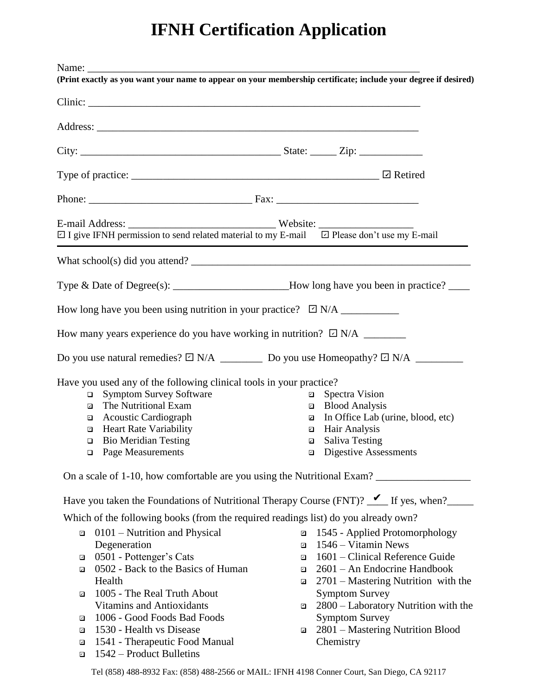# **IFNH Certification Application**

| $\boxdot$ I give IFNH permission to send related material to my E-mail $\boxdot$ Please don't use my E-mail                                                                                                                                                                                                                                                                                                                                                          |                                                                                                                                                                                                                                                                                                                                                                     |
|----------------------------------------------------------------------------------------------------------------------------------------------------------------------------------------------------------------------------------------------------------------------------------------------------------------------------------------------------------------------------------------------------------------------------------------------------------------------|---------------------------------------------------------------------------------------------------------------------------------------------------------------------------------------------------------------------------------------------------------------------------------------------------------------------------------------------------------------------|
|                                                                                                                                                                                                                                                                                                                                                                                                                                                                      |                                                                                                                                                                                                                                                                                                                                                                     |
| Type & Date of Degree(s): ____________________How long have you been in practice? ____                                                                                                                                                                                                                                                                                                                                                                               |                                                                                                                                                                                                                                                                                                                                                                     |
|                                                                                                                                                                                                                                                                                                                                                                                                                                                                      |                                                                                                                                                                                                                                                                                                                                                                     |
| How many years experience do you have working in nutrition? $\Box$ N/A _________                                                                                                                                                                                                                                                                                                                                                                                     |                                                                                                                                                                                                                                                                                                                                                                     |
| Do you use natural remedies? $\Box$ N/A _____________ Do you use Homeopathy? $\Box$ N/A ________________                                                                                                                                                                                                                                                                                                                                                             |                                                                                                                                                                                                                                                                                                                                                                     |
| Have you used any of the following clinical tools in your practice?<br><b>Symptom Survey Software</b><br>$\Box$<br>The Nutritional Exam<br>☑<br><b>Acoustic Cardiograph</b><br>◘<br><b>Heart Rate Variability</b><br>⊡<br><b>Bio Meridian Testing</b><br>$\Box$<br>□ Page Measurements<br>On a scale of 1-10, how comfortable are you using the Nutritional Exam?<br>Have you taken the Foundations of Nutritional Therapy Course (FNT)? $\mathcal{I}$ If yes, when? | □ Spectra Vision<br>□ Blood Analysis<br>In Office Lab (urine, blood, etc)<br>☑<br>Hair Analysis<br>◘<br><b>Saliva Testing</b><br>☑<br><b>Q</b> Digestive Assessments                                                                                                                                                                                                |
| Which of the following books (from the required readings list) do you already own?                                                                                                                                                                                                                                                                                                                                                                                   |                                                                                                                                                                                                                                                                                                                                                                     |
| 0101 – Nutrition and Physical<br>◘<br>Degeneration<br>0501 - Pottenger's Cats<br>☑<br>0502 - Back to the Basics of Human<br>☑<br>Health<br>1005 - The Real Truth About<br>☑<br><b>Vitamins and Antioxidants</b><br>1006 - Good Foods Bad Foods<br>☑<br>1530 - Health vs Disease<br>$\Box$                                                                                                                                                                            | 1545 - Applied Protomorphology<br>☑<br>1546 – Vitamin News<br>⊡<br>1601 – Clinical Reference Guide<br>⊡<br>2601 – An Endocrine Handbook<br>⊡<br>2701 – Mastering Nutrition with the<br>$\blacksquare$<br><b>Symptom Survey</b><br>2800 - Laboratory Nutrition with the<br>◘<br><b>Symptom Survey</b><br>2801 - Mastering Nutrition Blood<br>$\overline{\mathbf{z}}$ |

- a 1541 Therapeutic Food Manual
- a 1542 Product Bulletins
- 2800 Laboratory Nutrition with the
- **Chemistry**

Tel (858) 488-8932 Fax: (858) 488-2566 or MAIL: IFNH 4198 Conner Court, San Diego, CA 92117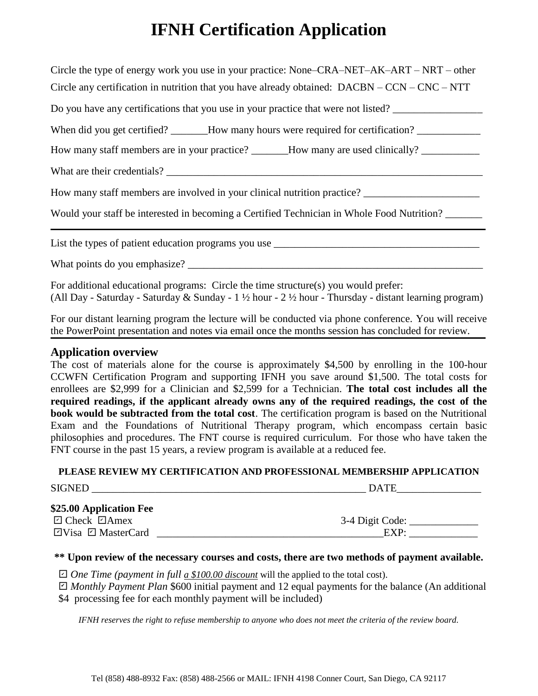# **IFNH Certification Application**

| Circle the type of energy work you use in your practice: None-CRA-NET-AK-ART – NRT – other           |  |  |  |
|------------------------------------------------------------------------------------------------------|--|--|--|
| Circle any certification in nutrition that you have already obtained: $DACBN - CCN - CNC - NTT$      |  |  |  |
| Do you have any certifications that you use in your practice that were not listed?                   |  |  |  |
| When did you get certified? ______How many hours were required for certification? __________________ |  |  |  |
| How many staff members are in your practice? ______How many are used clinically? ___________________ |  |  |  |
|                                                                                                      |  |  |  |
| How many staff members are involved in your clinical nutrition practice? ___________________________ |  |  |  |
| Would your staff be interested in becoming a Certified Technician in Whole Food Nutrition?           |  |  |  |
| List the types of patient education programs you use ___________________________                     |  |  |  |
| What points do you emphasize?                                                                        |  |  |  |

For additional educational programs: Circle the time structure(s) you would prefer: (All Day - Saturday - Saturday & Sunday - 1 ½ hour - 2 ½ hour - Thursday - distant learning program)

For our distant learning program the lecture will be conducted via phone conference. You will receive the PowerPoint presentation and notes via email once the months session has concluded for review.

# **Application overview**

The cost of materials alone for the course is approximately \$4,500 by enrolling in the 100-hour CCWFN Certification Program and supporting IFNH you save around \$1,500. The total costs for enrollees are \$2,999 for a Clinician and \$2,599 for a Technician. **The total cost includes all the required readings, if the applicant already owns any of the required readings, the cost of the book would be subtracted from the total cost**. The certification program is based on the Nutritional Exam and the Foundations of Nutritional Therapy program, which encompass certain basic philosophies and procedures. The FNT course is required curriculum. For those who have taken the FNT course in the past 15 years, a review program is available at a reduced fee.

### **PLEASE REVIEW MY CERTIFICATION AND PROFESSIONAL MEMBERSHIP APPLICATION**

| <b>SIGNED</b>                                       | <b>DATE</b>     |
|-----------------------------------------------------|-----------------|
| \$25.00 Application Fee<br>$\Box$ Check $\Box$ Amex | 3-4 Digit Code: |
| $\Box$ Visa $\Box$ MasterCard                       | EXP:            |

### **\*\* Upon review of the necessary courses and costs, there are two methods of payment available.**

 $□$  *One Time (payment in full <u>a \$100.00 discount</u> will the applied to the total cost).* 

 *Monthly Payment Plan* \$600 initial payment and 12 equal payments for the balance (An additional ✔ \$4 processing fee for each monthly payment will be included)

*IFNH reserves the right to refuse membership to anyone who does not meet the criteria of the review board.*